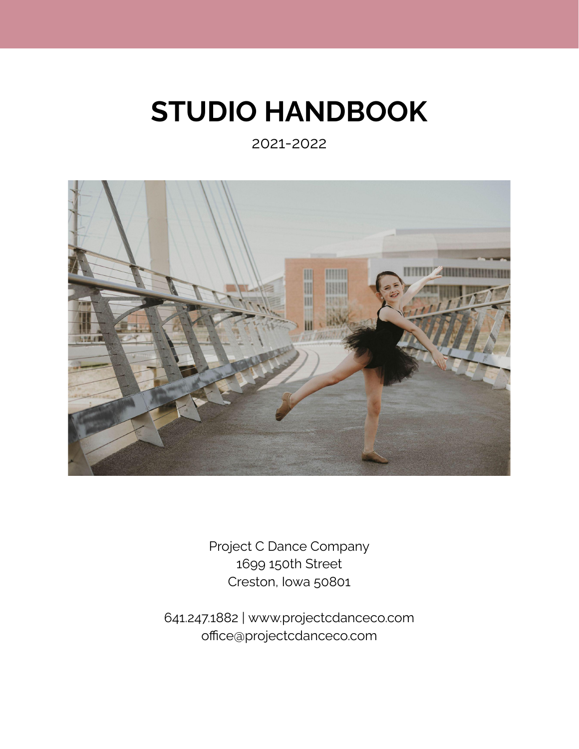# **STUDIO HANDBOOK**

2021-2022



Project C Dance Company 1699 150th Street Creston, Iowa 50801

641.247.1882 | [www.projectcdanceco.com](http://www.projectcdanceco.com) office@projectcdanceco.com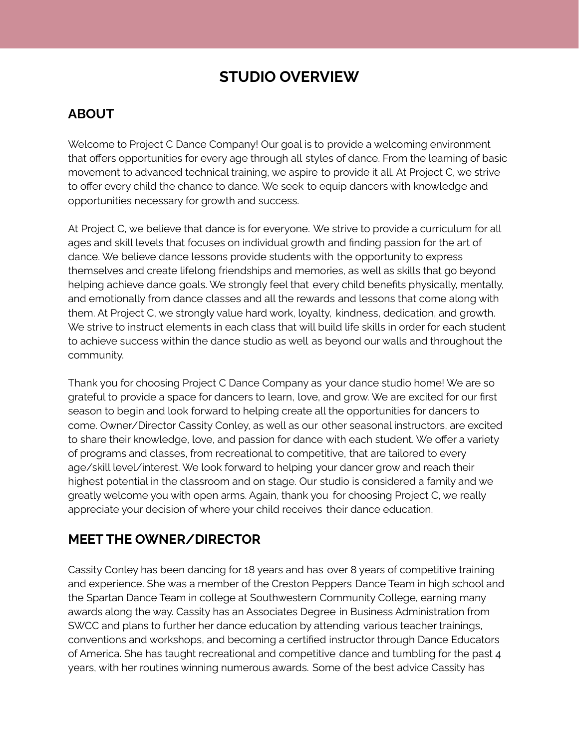# **STUDIO OVERVIEW**

## **ABOUT**

Welcome to Project C Dance Company! Our goal is to provide a welcoming environment that offers opportunities for every age through all styles of dance. From the learning of basic movement to advanced technical training, we aspire to provide it all. At Project C, we strive to offer every child the chance to dance. We seek to equip dancers with knowledge and opportunities necessary for growth and success.

At Project C, we believe that dance is for everyone. We strive to provide a curriculum for all ages and skill levels that focuses on individual growth and finding passion for the art of dance. We believe dance lessons provide students with the opportunity to express themselves and create lifelong friendships and memories, as well as skills that go beyond helping achieve dance goals. We strongly feel that every child benefits physically, mentally, and emotionally from dance classes and all the rewards and lessons that come along with them. At Project C, we strongly value hard work, loyalty, kindness, dedication, and growth. We strive to instruct elements in each class that will build life skills in order for each student to achieve success within the dance studio as well as beyond our walls and throughout the community.

Thank you for choosing Project C Dance Company as your dance studio home! We are so grateful to provide a space for dancers to learn, love, and grow. We are excited for our first season to begin and look forward to helping create all the opportunities for dancers to come. Owner/Director Cassity Conley, as well as our other seasonal instructors, are excited to share their knowledge, love, and passion for dance with each student. We offer a variety of programs and classes, from recreational to competitive, that are tailored to every age/skill level/interest. We look forward to helping your dancer grow and reach their highest potential in the classroom and on stage. Our studio is considered a family and we greatly welcome you with open arms. Again, thank you for choosing Project C, we really appreciate your decision of where your child receives their dance education.

## **MEET THE OWNER/DIRECTOR**

Cassity Conley has been dancing for 18 years and has over 8 years of competitive training and experience. She was a member of the Creston Peppers Dance Team in high school and the Spartan Dance Team in college at Southwestern Community College, earning many awards along the way. Cassity has an Associates Degree in Business Administration from SWCC and plans to further her dance education by attending various teacher trainings, conventions and workshops, and becoming a certified instructor through Dance Educators of America. She has taught recreational and competitive dance and tumbling for the past 4 years, with her routines winning numerous awards. Some of the best advice Cassity has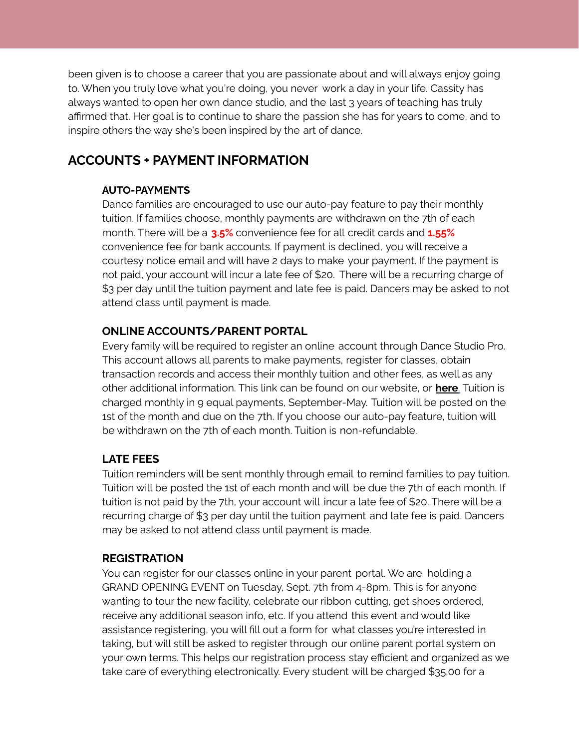been given is to choose a career that you are passionate about and will always enjoy going to. When you truly love what you're doing, you never work a day in your life. Cassity has always wanted to open her own dance studio, and the last 3 years of teaching has truly affirmed that. Her goal is to continue to share the passion she has for years to come, and to inspire others the way she's been inspired by the art of dance.

## **ACCOUNTS + PAYMENT INFORMATION**

#### **AUTO-PAYMENTS**

Dance families are encouraged to use our auto-pay feature to pay their monthly tuition. If families choose, monthly payments are withdrawn on the 7th of each month. There will be a **3.5%** convenience fee for all credit cards and **1.55%** convenience fee for bank accounts. If payment is declined, you will receive a courtesy notice email and will have 2 days to make your payment. If the payment is not paid, your account will incur a late fee of \$20. There will be a recurring charge of \$3 per day until the tuition payment and late fee is paid. Dancers may be asked to not attend class until payment is made.

#### **ONLINE ACCOUNTS/PARENT PORTAL**

Every family will be required to register an online account through Dance Studio Pro. This account allows all parents to make payments, register for classes, obtain transaction records and access their monthly tuition and other fees, as well as any other additional information. This link can be found on our website, or **[here](https://dancestudio-pro.com/online/index.php?account_id=20652)**. Tuition is charged monthly in 9 equal payments, September-May. Tuition will be posted on the 1st of the month and due on the 7th. If you choose our auto-pay feature, tuition will be withdrawn on the 7th of each month. Tuition is non-refundable.

#### **LATE FEES**

Tuition reminders will be sent monthly through email to remind families to pay tuition. Tuition will be posted the 1st of each month and will be due the 7th of each month. If tuition is not paid by the 7th, your account will incur a late fee of \$20. There will be a recurring charge of \$3 per day until the tuition payment and late fee is paid. Dancers may be asked to not attend class until payment is made.

#### **REGISTRATION**

You can register for our classes online in your parent portal. We are holding a GRAND OPENING EVENT on Tuesday, Sept. 7th from 4-8pm. This is for anyone wanting to tour the new facility, celebrate our ribbon cutting, get shoes ordered, receive any additional season info, etc. If you attend this event and would like assistance registering, you will fill out a form for what classes you're interested in taking, but will still be asked to register through our online parent portal system on your own terms. This helps our registration process stay efficient and organized as we take care of everything electronically. Every student will be charged \$35.00 for a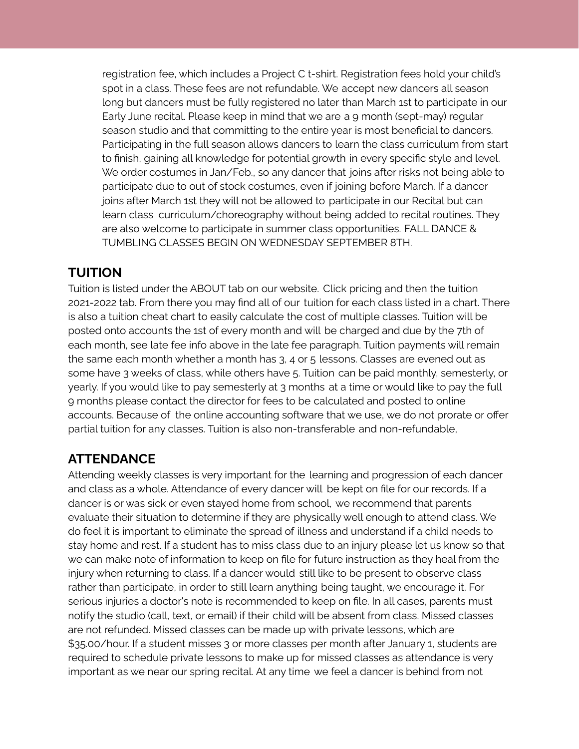registration fee, which includes a Project C t-shirt. Registration fees hold your child's spot in a class. These fees are not refundable. We accept new dancers all season long but dancers must be fully registered no later than March 1st to participate in our Early June recital. Please keep in mind that we are a 9 month (sept-may) regular season studio and that committing to the entire year is most beneficial to dancers. Participating in the full season allows dancers to learn the class curriculum from start to finish, gaining all knowledge for potential growth in every specific style and level. We order costumes in Jan/Feb., so any dancer that joins after risks not being able to participate due to out of stock costumes, even if joining before March. If a dancer joins after March 1st they will not be allowed to participate in our Recital but can learn class curriculum/choreography without being added to recital routines. They are also welcome to participate in summer class opportunities. FALL DANCE & TUMBLING CLASSES BEGIN ON WEDNESDAY SEPTEMBER 8TH.

### **TUITION**

Tuition is listed under the ABOUT tab on our website. Click pricing and then the tuition 2021-2022 tab. From there you may find all of our tuition for each class listed in a chart. There is also a tuition cheat chart to easily calculate the cost of multiple classes. Tuition will be posted onto accounts the 1st of every month and will be charged and due by the 7th of each month, see late fee info above in the late fee paragraph. Tuition payments will remain the same each month whether a month has 3, 4 or 5 lessons. Classes are evened out as some have 3 weeks of class, while others have 5. Tuition can be paid monthly, semesterly, or yearly. If you would like to pay semesterly at 3 months at a time or would like to pay the full 9 months please contact the director for fees to be calculated and posted to online accounts. Because of the online accounting software that we use, we do not prorate or offer partial tuition for any classes. Tuition is also non-transferable and non-refundable,

## **ATTENDANCE**

Attending weekly classes is very important for the learning and progression of each dancer and class as a whole. Attendance of every dancer will be kept on file for our records. If a dancer is or was sick or even stayed home from school, we recommend that parents evaluate their situation to determine if they are physically well enough to attend class. We do feel it is important to eliminate the spread of illness and understand if a child needs to stay home and rest. If a student has to miss class due to an injury please let us know so that we can make note of information to keep on file for future instruction as they heal from the injury when returning to class. If a dancer would still like to be present to observe class rather than participate, in order to still learn anything being taught, we encourage it. For serious injuries a doctor's note is recommended to keep on file. In all cases, parents must notify the studio (call, text, or email) if their child will be absent from class. Missed classes are not refunded. Missed classes can be made up with private lessons, which are \$35.00/hour. If a student misses 3 or more classes per month after January 1, students are required to schedule private lessons to make up for missed classes as attendance is very important as we near our spring recital. At any time we feel a dancer is behind from not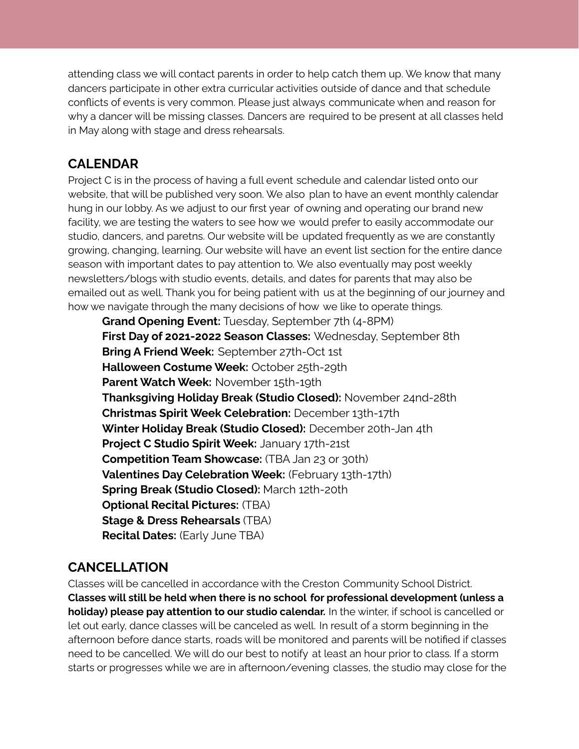attending class we will contact parents in order to help catch them up. We know that many dancers participate in other extra curricular activities outside of dance and that schedule conflicts of events is very common. Please just always communicate when and reason for why a dancer will be missing classes. Dancers are required to be present at all classes held in May along with stage and dress rehearsals.

## **CALENDAR**

Project C is in the process of having a full event schedule and calendar listed onto our website, that will be published very soon. We also plan to have an event monthly calendar hung in our lobby. As we adjust to our first year of owning and operating our brand new facility, we are testing the waters to see how we would prefer to easily accommodate our studio, dancers, and paretns. Our website will be updated frequently as we are constantly growing, changing, learning. Our website will have an event list section for the entire dance season with important dates to pay attention to. We also eventually may post weekly newsletters/blogs with studio events, details, and dates for parents that may also be emailed out as well. Thank you for being patient with us at the beginning of our journey and how we navigate through the many decisions of how we like to operate things.

**Grand Opening Event:** Tuesday, September 7th (4-8PM) **First Day of 2021-2022 Season Classes:** Wednesday, September 8th **Bring A Friend Week:** September 27th-Oct 1st **Halloween Costume Week:** October 25th-29th **Parent Watch Week:** November 15th-19th **Thanksgiving Holiday Break (Studio Closed):** November 24nd-28th **Christmas Spirit Week Celebration:** December 13th-17th **Winter Holiday Break (Studio Closed):** December 20th-Jan 4th **Project C Studio Spirit Week:** January 17th-21st **Competition Team Showcase:** (TBA Jan 23 or 30th) **Valentines Day Celebration Week:** (February 13th-17th) **Spring Break (Studio Closed):** March 12th-20th **Optional Recital Pictures:** (TBA) **Stage & Dress Rehearsals** (TBA) **Recital Dates:** (Early June TBA)

# **CANCELLATION**

Classes will be cancelled in accordance with the Creston Community School District. **Classes will still be held when there is no school for professional development (unless a holiday) please pay attention to our studio calendar.** In the winter, if school is cancelled or let out early, dance classes will be canceled as well. In result of a storm beginning in the afternoon before dance starts, roads will be monitored and parents will be notified if classes need to be cancelled. We will do our best to notify at least an hour prior to class. If a storm starts or progresses while we are in afternoon/evening classes, the studio may close for the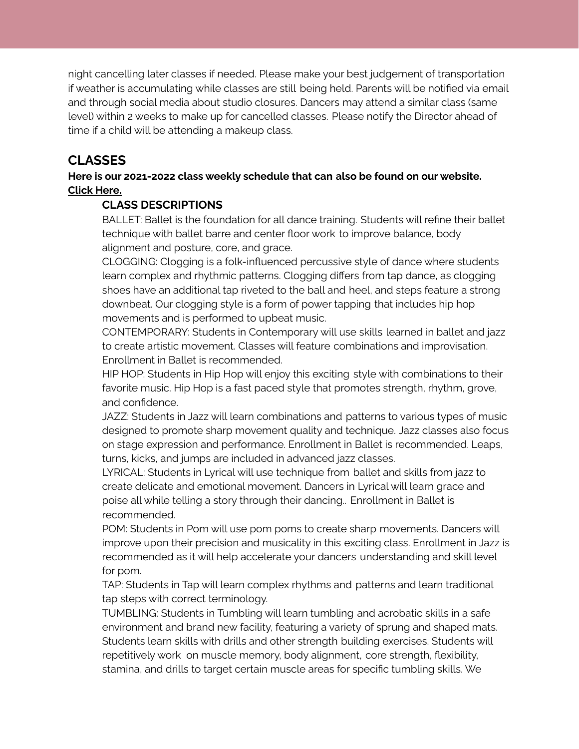night cancelling later classes if needed. Please make your best judgement of transportation if weather is accumulating while classes are still being held. Parents will be notified via email and through social media about studio closures. Dancers may attend a similar class (same level) within 2 weeks to make up for cancelled classes. Please notify the Director ahead of time if a child will be attending a makeup class.

## **CLASSES**

#### **Here is our 2021-2022 class weekly schedule that can also be found on our website. Click [Here.](https://9356a10c-b804-4cbe-9f96-5d99c79fcb61.filesusr.com/ugd/654ce2_a6d5381ae38f4da0b740130559d43cf9.pdf)**

#### **CLASS DESCRIPTIONS**

BALLET: Ballet is the foundation for all dance training. Students will refine their ballet technique with ballet barre and center floor work to improve balance, body alignment and posture, core, and grace.

CLOGGING: Clogging is a folk-influenced percussive style of dance where students learn complex and rhythmic patterns. Clogging differs from tap dance, as clogging shoes have an additional tap riveted to the ball and heel, and steps feature a strong downbeat. Our clogging style is a form of power tapping that includes hip hop movements and is performed to upbeat music.

CONTEMPORARY: Students in Contemporary will use skills learned in ballet and jazz to create artistic movement. Classes will feature combinations and improvisation. Enrollment in Ballet is recommended.

HIP HOP: Students in Hip Hop will enjoy this exciting style with combinations to their favorite music. Hip Hop is a fast paced style that promotes strength, rhythm, grove, and confidence.

JAZZ: Students in Jazz will learn combinations and patterns to various types of music designed to promote sharp movement quality and technique. Jazz classes also focus on stage expression and performance. Enrollment in Ballet is recommended. Leaps, turns, kicks, and jumps are included in advanced jazz classes.

LYRICAL: Students in Lyrical will use technique from ballet and skills from jazz to create delicate and emotional movement. Dancers in Lyrical will learn grace and poise all while telling a story through their dancing.. Enrollment in Ballet is recommended.

POM: Students in Pom will use pom poms to create sharp movements. Dancers will improve upon their precision and musicality in this exciting class. Enrollment in Jazz is recommended as it will help accelerate your dancers understanding and skill level for pom.

TAP: Students in Tap will learn complex rhythms and patterns and learn traditional tap steps with correct terminology.

TUMBLING: Students in Tumbling will learn tumbling and acrobatic skills in a safe environment and brand new facility, featuring a variety of sprung and shaped mats. Students learn skills with drills and other strength building exercises. Students will repetitively work on muscle memory, body alignment, core strength, flexibility, stamina, and drills to target certain muscle areas for specific tumbling skills. We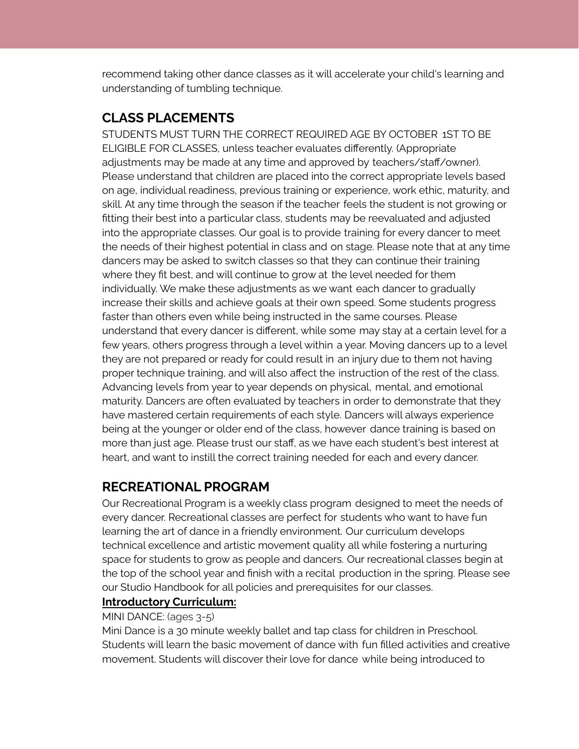recommend taking other dance classes as it will accelerate your child's learning and understanding of tumbling technique.

## **CLASS PLACEMENTS**

STUDENTS MUST TURN THE CORRECT REQUIRED AGE BY OCTOBER 1ST TO BE ELIGIBLE FOR CLASSES, unless teacher evaluates differently. (Appropriate adjustments may be made at any time and approved by teachers/staff/owner). Please understand that children are placed into the correct appropriate levels based on age, individual readiness, previous training or experience, work ethic, maturity, and skill. At any time through the season if the teacher feels the student is not growing or fitting their best into a particular class, students may be reevaluated and adjusted into the appropriate classes. Our goal is to provide training for every dancer to meet the needs of their highest potential in class and on stage. Please note that at any time dancers may be asked to switch classes so that they can continue their training where they fit best, and will continue to grow at the level needed for them individually. We make these adjustments as we want each dancer to gradually increase their skills and achieve goals at their own speed. Some students progress faster than others even while being instructed in the same courses. Please understand that every dancer is different, while some may stay at a certain level for a few years, others progress through a level within a year. Moving dancers up to a level they are not prepared or ready for could result in an injury due to them not having proper technique training, and will also affect the instruction of the rest of the class. Advancing levels from year to year depends on physical, mental, and emotional maturity. Dancers are often evaluated by teachers in order to demonstrate that they have mastered certain requirements of each style. Dancers will always experience being at the younger or older end of the class, however dance training is based on more than just age. Please trust our staff, as we have each student's best interest at heart, and want to instill the correct training needed for each and every dancer.

## **RECREATIONAL PROGRAM**

Our Recreational Program is a weekly class program designed to meet the needs of every dancer. Recreational classes are perfect for students who want to have fun learning the art of dance in a friendly environment. Our curriculum develops technical excellence and artistic movement quality all while fostering a nurturing space for students to grow as people and dancers. Our recreational classes begin at the top of the school year and finish with a recital production in the spring. Please see our Studio Handbook for all policies and prerequisites for our classes.

#### **Introductory Curriculum:**

#### MINI DANCE: (ages 3-5)

Mini Dance is a 30 minute weekly ballet and tap class for children in Preschool. Students will learn the basic movement of dance with fun filled activities and creative movement. Students will discover their love for dance while being introduced to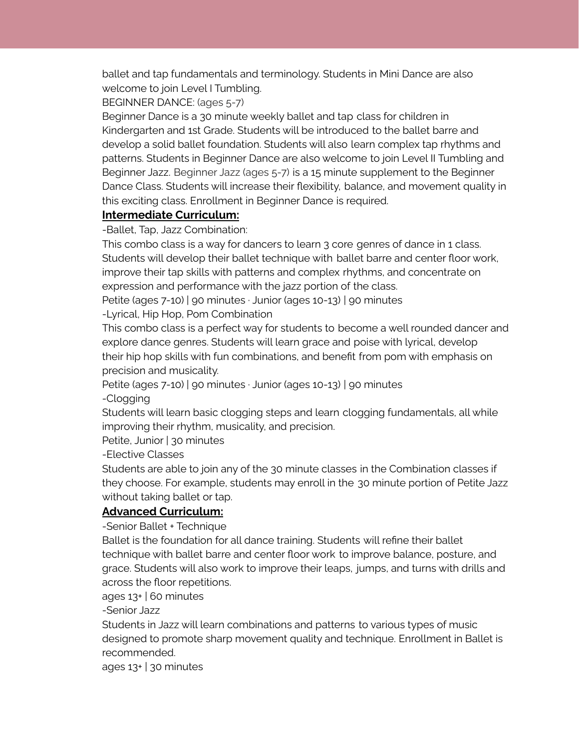ballet and tap fundamentals and terminology. Students in Mini Dance are also welcome to join Level I Tumbling.

BEGINNER DANCE: (ages 5-7)

Beginner Dance is a 30 minute weekly ballet and tap class for children in Kindergarten and 1st Grade. Students will be introduced to the ballet barre and develop a solid ballet foundation. Students will also learn complex tap rhythms and patterns. Students in Beginner Dance are also welcome to join Level II Tumbling and Beginner Jazz. Beginner Jazz (ages 5-7) is a 15 minute supplement to the Beginner Dance Class. Students will increase their flexibility, balance, and movement quality in this exciting class. Enrollment in Beginner Dance is required.

#### **Intermediate Curriculum:**

-Ballet, Tap, Jazz Combination:

This combo class is a way for dancers to learn 3 core genres of dance in 1 class. Students will develop their ballet technique with ballet barre and center floor work, improve their tap skills with patterns and complex rhythms, and concentrate on expression and performance with the jazz portion of the class.

Petite (ages 7-10) | 90 minutes · Junior (ages 10-13) | 90 minutes

-Lyrical, Hip Hop, Pom Combination

This combo class is a perfect way for students to become a well rounded dancer and explore dance genres. Students will learn grace and poise with lyrical, develop their hip hop skills with fun combinations, and benefit from pom with emphasis on precision and musicality.

Petite (ages 7-10) | 90 minutes · Junior (ages 10-13) | 90 minutes

-Clogging

Students will learn basic clogging steps and learn clogging fundamentals, all while improving their rhythm, musicality, and precision.

Petite, Junior | 30 minutes

-Elective Classes

Students are able to join any of the 30 minute classes in the Combination classes if they choose. For example, students may enroll in the 30 minute portion of Petite Jazz without taking ballet or tap.

#### **Advanced Curriculum:**

-Senior Ballet + Technique

Ballet is the foundation for all dance training. Students will refine their ballet technique with ballet barre and center floor work to improve balance, posture, and grace. Students will also work to improve their leaps, jumps, and turns with drills and across the floor repetitions.

ages  $13+$  60 minutes

-Senior Jazz

Students in Jazz will learn combinations and patterns to various types of music designed to promote sharp movement quality and technique. Enrollment in Ballet is recommended.

ages 13+ | 30 minutes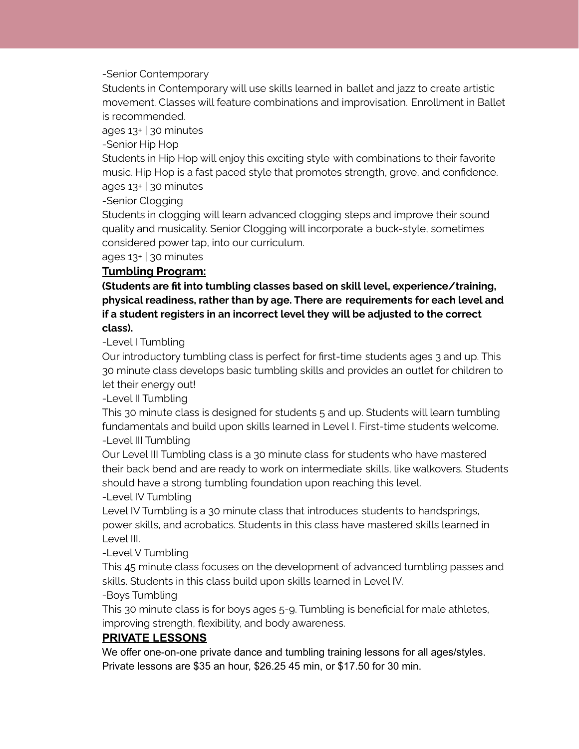-Senior Contemporary

Students in Contemporary will use skills learned in ballet and jazz to create artistic movement. Classes will feature combinations and improvisation. Enrollment in Ballet is recommended.

ages 13+ | 30 minutes

-Senior Hip Hop

Students in Hip Hop will enjoy this exciting style with combinations to their favorite music. Hip Hop is a fast paced style that promotes strength, grove, and confidence. ages 13+ | 30 minutes

-Senior Clogging

Students in clogging will learn advanced clogging steps and improve their sound quality and musicality. Senior Clogging will incorporate a buck-style, sometimes considered power tap, into our curriculum.

ages 13+ | 30 minutes

#### **Tumbling Program:**

**(Students are fit into tumbling classes based on skill level, experience/training, physical readiness, rather than by age. There are requirements for each level and if a student registers in an incorrect level they will be adjusted to the correct class).**

-Level I Tumbling

Our introductory tumbling class is perfect for first-time students ages 3 and up. This 30 minute class develops basic tumbling skills and provides an outlet for children to let their energy out!

-Level II Tumbling

This 30 minute class is designed for students 5 and up. Students will learn tumbling fundamentals and build upon skills learned in Level I. First-time students welcome. -Level III Tumbling

Our Level III Tumbling class is a 30 minute class for students who have mastered their back bend and are ready to work on intermediate skills, like walkovers. Students should have a strong tumbling foundation upon reaching this level.

-Level IV Tumbling

Level IV Tumbling is a 30 minute class that introduces students to handsprings, power skills, and acrobatics. Students in this class have mastered skills learned in Level III.

-Level V Tumbling

This 45 minute class focuses on the development of advanced tumbling passes and skills. Students in this class build upon skills learned in Level IV.

-Boys Tumbling

This 30 minute class is for boys ages 5-9. Tumbling is beneficial for male athletes, improving strength, flexibility, and body awareness.

#### **PRIVATE LESSONS**

We offer one-on-one private dance and tumbling training lessons for all ages/styles. Private lessons are \$35 an hour, \$26.25 45 min, or \$17.50 for 30 min.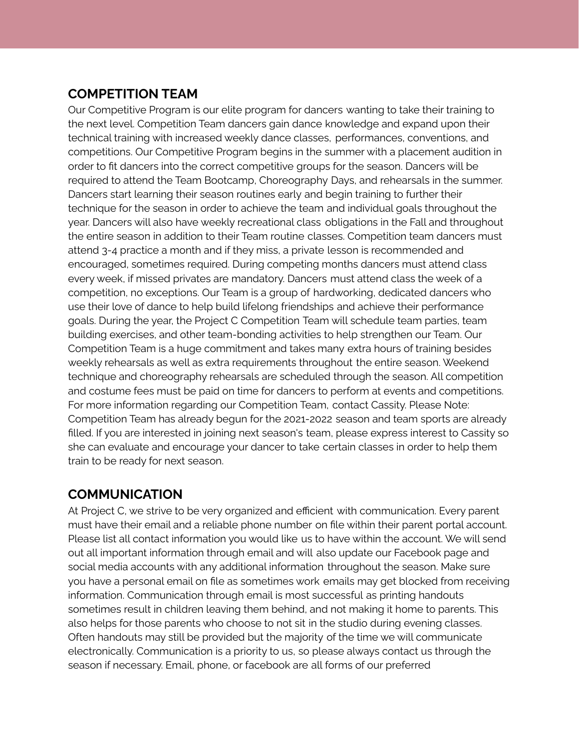## **COMPETITION TEAM**

Our Competitive Program is our elite program for dancers wanting to take their training to the next level. Competition Team dancers gain dance knowledge and expand upon their technical training with increased weekly dance classes, performances, conventions, and competitions. Our Competitive Program begins in the summer with a placement audition in order to fit dancers into the correct competitive groups for the season. Dancers will be required to attend the Team Bootcamp, Choreography Days, and rehearsals in the summer. Dancers start learning their season routines early and begin training to further their technique for the season in order to achieve the team and individual goals throughout the year. Dancers will also have weekly recreational class obligations in the Fall and throughout the entire season in addition to their Team routine classes. Competition team dancers must attend 3-4 practice a month and if they miss, a private lesson is recommended and encouraged, sometimes required. During competing months dancers must attend class every week, if missed privates are mandatory. Dancers must attend class the week of a competition, no exceptions. Our Team is a group of hardworking, dedicated dancers who use their love of dance to help build lifelong friendships and achieve their performance goals. During the year, the Project C Competition Team will schedule team parties, team building exercises, and other team-bonding activities to help strengthen our Team. Our Competition Team is a huge commitment and takes many extra hours of training besides weekly rehearsals as well as extra requirements throughout the entire season. Weekend technique and choreography rehearsals are scheduled through the season. All competition and costume fees must be paid on time for dancers to perform at events and competitions. For more information regarding our Competition Team, contact Cassity. Please Note: Competition Team has already begun for the 2021-2022 season and team sports are already filled. If you are interested in joining next season's team, please express interest to Cassity so she can evaluate and encourage your dancer to take certain classes in order to help them train to be ready for next season.

## **COMMUNICATION**

At Project C, we strive to be very organized and efficient with communication. Every parent must have their email and a reliable phone number on file within their parent portal account. Please list all contact information you would like us to have within the account. We will send out all important information through email and will also update our Facebook page and social media accounts with any additional information throughout the season. Make sure you have a personal email on file as sometimes work emails may get blocked from receiving information. Communication through email is most successful as printing handouts sometimes result in children leaving them behind, and not making it home to parents. This also helps for those parents who choose to not sit in the studio during evening classes. Often handouts may still be provided but the majority of the time we will communicate electronically. Communication is a priority to us, so please always contact us through the season if necessary. Email, phone, or facebook are all forms of our preferred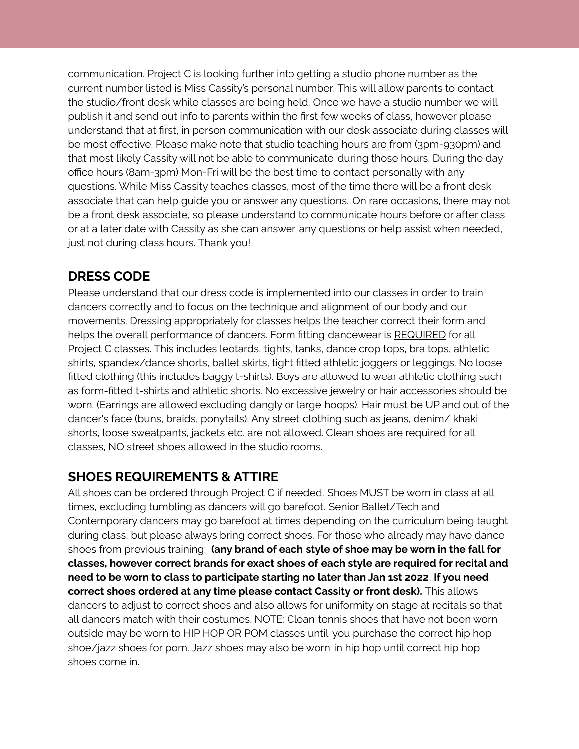communication. Project C is looking further into getting a studio phone number as the current number listed is Miss Cassity's personal number. This will allow parents to contact the studio/front desk while classes are being held. Once we have a studio number we will publish it and send out info to parents within the first few weeks of class, however please understand that at first, in person communication with our desk associate during classes will be most effective. Please make note that studio teaching hours are from (3pm-930pm) and that most likely Cassity will not be able to communicate during those hours. During the day office hours (8am-3pm) Mon-Fri will be the best time to contact personally with any questions. While Miss Cassity teaches classes, most of the time there will be a front desk associate that can help guide you or answer any questions. On rare occasions, there may not be a front desk associate, so please understand to communicate hours before or after class or at a later date with Cassity as she can answer any questions or help assist when needed, just not during class hours. Thank you!

## **DRESS CODE**

Please understand that our dress code is implemented into our classes in order to train dancers correctly and to focus on the technique and alignment of our body and our movements. Dressing appropriately for classes helps the teacher correct their form and helps the overall performance of dancers. Form fitting dancewear is REQUIRED for all Project C classes. This includes leotards, tights, tanks, dance crop tops, bra tops, athletic shirts, spandex/dance shorts, ballet skirts, tight fitted athletic joggers or leggings. No loose fitted clothing (this includes baggy t-shirts). Boys are allowed to wear athletic clothing such as form-fitted t-shirts and athletic shorts. No excessive jewelry or hair accessories should be worn. (Earrings are allowed excluding dangly or large hoops). Hair must be UP and out of the dancer's face (buns, braids, ponytails). Any street clothing such as jeans, denim/ khaki shorts, loose sweatpants, jackets etc. are not allowed. Clean shoes are required for all classes, NO street shoes allowed in the studio rooms.

# **SHOES REQUIREMENTS & ATTIRE**

All shoes can be ordered through Project C if needed. Shoes MUST be worn in class at all times, excluding tumbling as dancers will go barefoot. Senior Ballet/Tech and Contemporary dancers may go barefoot at times depending on the curriculum being taught during class, but please always bring correct shoes. For those who already may have dance shoes from previous training: **(any brand of each style of shoe may be worn in the fall for classes, however correct brands for exact shoes of each style are required for recital and need to be worn to class to participate starting no later than Jan 1st 2022**. **If you need correct shoes ordered at any time please contact Cassity or front desk).** This allows dancers to adjust to correct shoes and also allows for uniformity on stage at recitals so that all dancers match with their costumes. NOTE: Clean tennis shoes that have not been worn outside may be worn to HIP HOP OR POM classes until you purchase the correct hip hop shoe/jazz shoes for pom. Jazz shoes may also be worn in hip hop until correct hip hop shoes come in.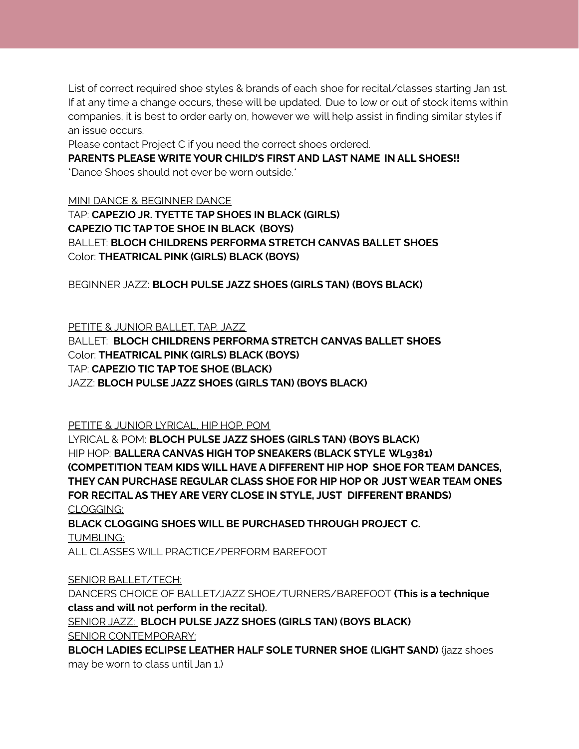List of correct required shoe styles & brands of each shoe for recital/classes starting Jan 1st. If at any time a change occurs, these will be updated. Due to low or out of stock items within companies, it is best to order early on, however we will help assist in finding similar styles if an issue occurs.

Please contact Project C if you need the correct shoes ordered.

**PARENTS PLEASE WRITE YOUR CHILD'S FIRST AND LAST NAME IN ALL SHOES!!** \*Dance Shoes should not ever be worn outside.\*

MINI DANCE & BEGINNER DANCE

TAP: **CAPEZIO JR. TYETTE TAP SHOES IN BLACK (GIRLS) CAPEZIO TIC TAP TOE SHOE IN BLACK (BOYS)** BALLET: **BLOCH CHILDRENS PERFORMA STRETCH CANVAS BALLET SHOES** Color: **THEATRICAL PINK (GIRLS) BLACK (BOYS)**

BEGINNER JAZZ: **BLOCH PULSE JAZZ SHOES (GIRLS TAN) (BOYS BLACK)**

PETITE & JUNIOR BALLET, TAP, JAZZ

BALLET: **BLOCH CHILDRENS PERFORMA STRETCH CANVAS BALLET SHOES** Color: **THEATRICAL PINK (GIRLS) BLACK (BOYS)** TAP: **CAPEZIO TIC TAP TOE SHOE (BLACK)** JAZZ: **BLOCH PULSE JAZZ SHOES (GIRLS TAN) (BOYS BLACK)**

PETITE & JUNIOR LYRICAL, HIP HOP, POM

LYRICAL & POM: **BLOCH PULSE JAZZ SHOES (GIRLS TAN) (BOYS BLACK)** HIP HOP: **BALLERA CANVAS HIGH TOP SNEAKERS (BLACK STYLE WL9381) (COMPETITION TEAM KIDS WILL HAVE A DIFFERENT HIP HOP SHOE FOR TEAM DANCES, THEY CAN PURCHASE REGULAR CLASS SHOE FOR HIP HOP OR JUSTWEAR TEAM ONES FOR RECITAL AS THEY ARE VERY CLOSE IN STYLE, JUST DIFFERENT BRANDS)** CLOGGING:

**BLACK CLOGGING SHOES WILL BE PURCHASED THROUGH PROJECT C.** TUMBLING:

ALL CLASSES WILL PRACTICE/PERFORM BAREFOOT

SENIOR BALLET/TECH:

DANCERS CHOICE OF BALLET/JAZZ SHOE/TURNERS/BAREFOOT **(This is a technique class and will not perform in the recital).**

SENIOR JAZZ: **BLOCH PULSE JAZZ SHOES (GIRLS TAN) (BOYS BLACK)** SENIOR CONTEMPORARY:

**BLOCH LADIES ECLIPSE LEATHER HALF SOLE TURNER SHOE (LIGHT SAND)** (jazz shoes may be worn to class until Jan 1.)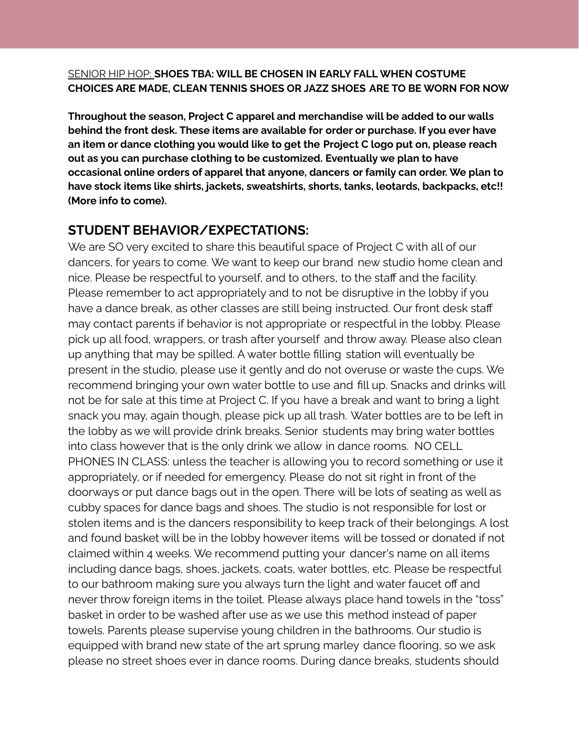#### SENIOR HIP HOP: **SHOES TBA: WILL BE CHOSEN IN EARLY FALLWHEN COSTUME CHOICES ARE MADE, CLEAN TENNIS SHOES OR JAZZ SHOES ARE TO BE WORN FOR NOW**

**Throughout the season, Project C apparel and merchandise will be added to our walls behind the front desk. These items are available for order or purchase. If you ever have an item or dance clothing you would like to get the Project C logo put on, please reach out as you can purchase clothing to be customized. Eventually we plan to have occasional online orders of apparel that anyone, dancers or family can order. We plan to have stock items like shirts, jackets, sweatshirts, shorts, tanks, leotards, backpacks, etc!! (More info to come).**

## **STUDENT BEHAVIOR/EXPECTATIONS:**

We are SO very excited to share this beautiful space of Project C with all of our dancers, for years to come. We want to keep our brand new studio home clean and nice. Please be respectful to yourself, and to others, to the staff and the facility. Please remember to act appropriately and to not be disruptive in the lobby if you have a dance break, as other classes are still being instructed. Our front desk staff may contact parents if behavior is not appropriate or respectful in the lobby. Please pick up all food, wrappers, or trash after yourself and throw away. Please also clean up anything that may be spilled. A water bottle filling station will eventually be present in the studio, please use it gently and do not overuse or waste the cups. We recommend bringing your own water bottle to use and fill up. Snacks and drinks will not be for sale at this time at Project C. If you have a break and want to bring a light snack you may, again though, please pick up all trash. Water bottles are to be left in the lobby as we will provide drink breaks. Senior students may bring water bottles into class however that is the only drink we allow in dance rooms. NO CELL PHONES IN CLASS: unless the teacher is allowing you to record something or use it appropriately, or if needed for emergency. Please do not sit right in front of the doorways or put dance bags out in the open. There will be lots of seating as well as cubby spaces for dance bags and shoes. The studio is not responsible for lost or stolen items and is the dancers responsibility to keep track of their belongings. A lost and found basket will be in the lobby however items will be tossed or donated if not claimed within 4 weeks. We recommend putting your dancer's name on all items including dance bags, shoes, jackets, coats, water bottles, etc. Please be respectful to our bathroom making sure you always turn the light and water faucet off and never throw foreign items in the toilet. Please always place hand towels in the "toss" basket in order to be washed after use as we use this method instead of paper towels. Parents please supervise young children in the bathrooms. Our studio is equipped with brand new state of the art sprung marley dance flooring, so we ask please no street shoes ever in dance rooms. During dance breaks, students should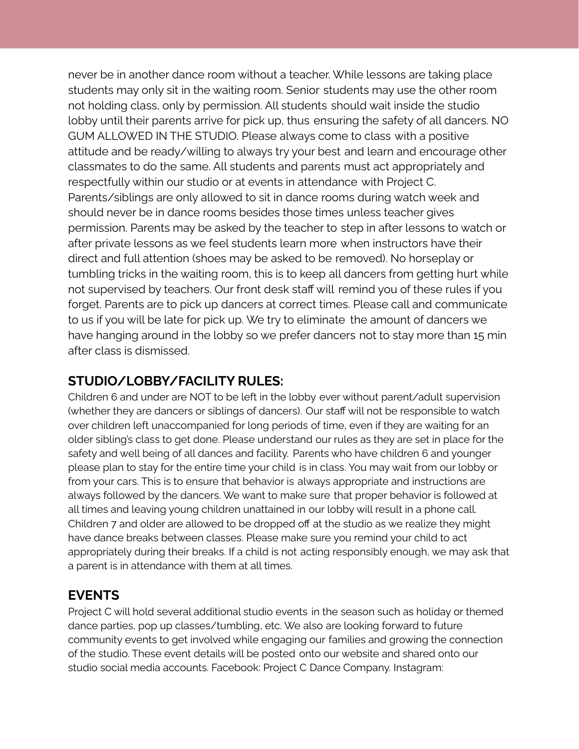never be in another dance room without a teacher. While lessons are taking place students may only sit in the waiting room. Senior students may use the other room not holding class, only by permission. All students should wait inside the studio lobby until their parents arrive for pick up, thus ensuring the safety of all dancers. NO GUM ALLOWED IN THE STUDIO. Please always come to class with a positive attitude and be ready/willing to always try your best and learn and encourage other classmates to do the same. All students and parents must act appropriately and respectfully within our studio or at events in attendance with Project C. Parents/siblings are only allowed to sit in dance rooms during watch week and should never be in dance rooms besides those times unless teacher gives permission. Parents may be asked by the teacher to step in after lessons to watch or after private lessons as we feel students learn more when instructors have their direct and full attention (shoes may be asked to be removed). No horseplay or tumbling tricks in the waiting room, this is to keep all dancers from getting hurt while not supervised by teachers. Our front desk staff will remind you of these rules if you forget. Parents are to pick up dancers at correct times. Please call and communicate to us if you will be late for pick up. We try to eliminate the amount of dancers we have hanging around in the lobby so we prefer dancers not to stay more than 15 min after class is dismissed.

## **STUDIO/LOBBY/FACILITY RULES:**

Children 6 and under are NOT to be left in the lobby ever without parent/adult supervision (whether they are dancers or siblings of dancers). Our staff will not be responsible to watch over children left unaccompanied for long periods of time, even if they are waiting for an older sibling's class to get done. Please understand our rules as they are set in place for the safety and well being of all dances and facility. Parents who have children 6 and younger please plan to stay for the entire time your child is in class. You may wait from our lobby or from your cars. This is to ensure that behavior is always appropriate and instructions are always followed by the dancers. We want to make sure that proper behavior is followed at all times and leaving young children unattained in our lobby will result in a phone call. Children 7 and older are allowed to be dropped off at the studio as we realize they might have dance breaks between classes. Please make sure you remind your child to act appropriately during their breaks. If a child is not acting responsibly enough, we may ask that a parent is in attendance with them at all times.

## **EVENTS**

Project C will hold several additional studio events in the season such as holiday or themed dance parties, pop up classes/tumbling, etc. We also are looking forward to future community events to get involved while engaging our families and growing the connection of the studio. These event details will be posted onto our website and shared onto our studio social media accounts. Facebook: Project C Dance Company. Instagram: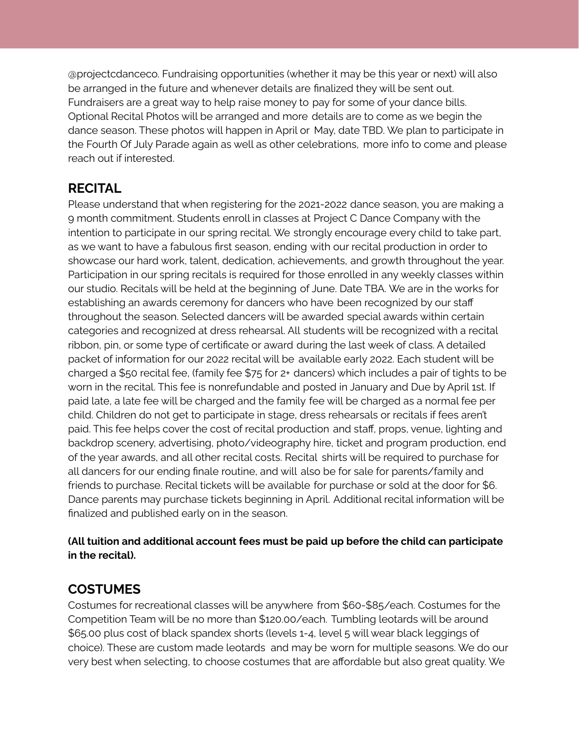@projectcdanceco. Fundraising opportunities (whether it may be this year or next) will also be arranged in the future and whenever details are finalized they will be sent out. Fundraisers are a great way to help raise money to pay for some of your dance bills. Optional Recital Photos will be arranged and more details are to come as we begin the dance season. These photos will happen in April or May, date TBD. We plan to participate in the Fourth Of July Parade again as well as other celebrations, more info to come and please reach out if interested.

## **RECITAL**

Please understand that when registering for the 2021-2022 dance season, you are making a 9 month commitment. Students enroll in classes at Project C Dance Company with the intention to participate in our spring recital. We strongly encourage every child to take part, as we want to have a fabulous first season, ending with our recital production in order to showcase our hard work, talent, dedication, achievements, and growth throughout the year. Participation in our spring recitals is required for those enrolled in any weekly classes within our studio. Recitals will be held at the beginning of June. Date TBA. We are in the works for establishing an awards ceremony for dancers who have been recognized by our staff throughout the season. Selected dancers will be awarded special awards within certain categories and recognized at dress rehearsal. All students will be recognized with a recital ribbon, pin, or some type of certificate or award during the last week of class. A detailed packet of information for our 2022 recital will be available early 2022. Each student will be charged a \$50 recital fee, (family fee \$75 for 2+ dancers) which includes a pair of tights to be worn in the recital. This fee is nonrefundable and posted in January and Due by April 1st. If paid late, a late fee will be charged and the family fee will be charged as a normal fee per child. Children do not get to participate in stage, dress rehearsals or recitals if fees aren't paid. This fee helps cover the cost of recital production and staff, props, venue, lighting and backdrop scenery, advertising, photo/videography hire, ticket and program production, end of the year awards, and all other recital costs. Recital shirts will be required to purchase for all dancers for our ending finale routine, and will also be for sale for parents/family and friends to purchase. Recital tickets will be available for purchase or sold at the door for \$6. Dance parents may purchase tickets beginning in April. Additional recital information will be finalized and published early on in the season.

#### **(All tuition and additional account fees must be paid up before the child can participate in the recital).**

## **COSTUMES**

Costumes for recreational classes will be anywhere from \$60-\$85/each. Costumes for the Competition Team will be no more than \$120.00/each. Tumbling leotards will be around \$65.00 plus cost of black spandex shorts (levels 1-4, level 5 will wear black leggings of choice). These are custom made leotards and may be worn for multiple seasons. We do our very best when selecting, to choose costumes that are affordable but also great quality. We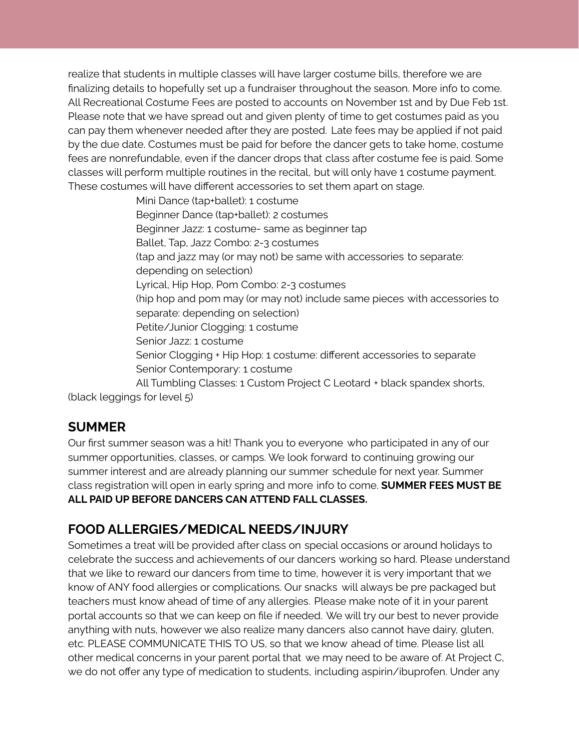realize that students in multiple classes will have larger costume bills, therefore we are finalizing details to hopefully set up a fundraiser throughout the season. More info to come. All Recreational Costume Fees are posted to accounts on November 1st and by Due Feb 1st. Please note that we have spread out and given plenty of time to get costumes paid as you can pay them whenever needed after they are posted. Late fees may be applied if not paid by the due date. Costumes must be paid for before the dancer gets to take home, costume fees are nonrefundable, even if the dancer drops that class after costume fee is paid. Some classes will perform multiple routines in the recital, but will only have 1 costume payment. These costumes will have different accessories to set them apart on stage.

> Mini Dance (tap+ballet): 1 costume Beginner Dance (tap+ballet): 2 costumes Beginner Jazz: 1 costume- same as beginner tap Ballet, Tap, Jazz Combo: 2-3 costumes (tap and jazz may (or may not) be same with accessories to separate: depending on selection) Lyrical, Hip Hop, Pom Combo: 2-3 costumes (hip hop and pom may (or may not) include same pieces with accessories to separate: depending on selection) Petite/Junior Clogging: 1 costume Senior Jazz: 1 costume Senior Clogging + Hip Hop: 1 costume: different accessories to separate Senior Contemporary: 1 costume All Tumbling Classes: 1 Custom Project C Leotard + black spandex shorts,

(black leggings for level 5)

## **SUMMER**

Our first summer season was a hit! Thank you to everyone who participated in any of our summer opportunities, classes, or camps. We look forward to continuing growing our summer interest and are already planning our summer schedule for next year. Summer class registration will open in early spring and more info to come. **SUMMER FEES MUST BE ALL PAID UP BEFORE DANCERS CAN ATTEND FALL CLASSES.**

# **FOOD ALLERGIES/MEDICAL NEEDS/INJURY**

Sometimes a treat will be provided after class on special occasions or around holidays to celebrate the success and achievements of our dancers working so hard. Please understand that we like to reward our dancers from time to time, however it is very important that we know of ANY food allergies or complications. Our snacks will always be pre packaged but teachers must know ahead of time of any allergies. Please make note of it in your parent portal accounts so that we can keep on file if needed. We will try our best to never provide anything with nuts, however we also realize many dancers also cannot have dairy, gluten, etc. PLEASE COMMUNICATE THIS TO US, so that we know ahead of time. Please list all other medical concerns in your parent portal that we may need to be aware of. At Project C, we do not offer any type of medication to students, including aspirin/ibuprofen. Under any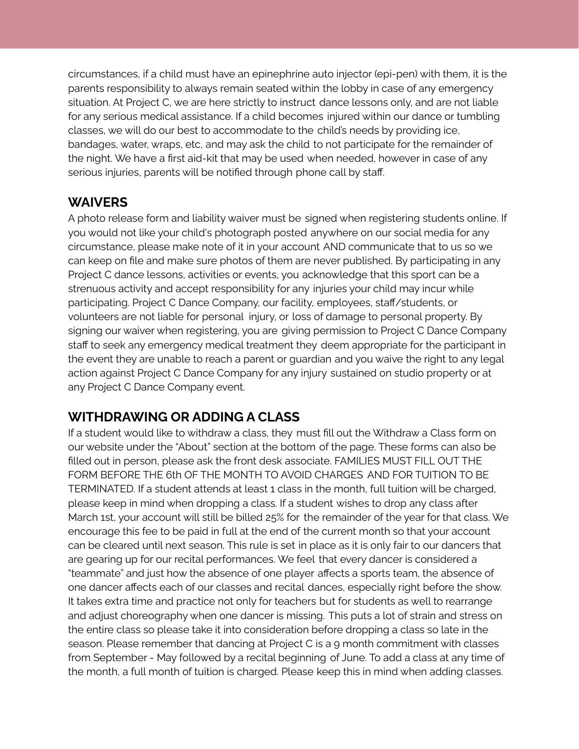circumstances, if a child must have an epinephrine auto injector (epi-pen) with them, it is the parents responsibility to always remain seated within the lobby in case of any emergency situation. At Project C, we are here strictly to instruct dance lessons only, and are not liable for any serious medical assistance. If a child becomes injured within our dance or tumbling classes, we will do our best to accommodate to the child's needs by providing ice, bandages, water, wraps, etc, and may ask the child to not participate for the remainder of the night. We have a first aid-kit that may be used when needed, however in case of any serious injuries, parents will be notified through phone call by staff.

#### **WAIVERS**

A photo release form and liability waiver must be signed when registering students online. If you would not like your child's photograph posted anywhere on our social media for any circumstance, please make note of it in your account AND communicate that to us so we can keep on file and make sure photos of them are never published. By participating in any Project C dance lessons, activities or events, you acknowledge that this sport can be a strenuous activity and accept responsibility for any injuries your child may incur while participating. Project C Dance Company, our facility, employees, staff/students, or volunteers are not liable for personal injury, or loss of damage to personal property. By signing our waiver when registering, you are giving permission to Project C Dance Company staff to seek any emergency medical treatment they deem appropriate for the participant in the event they are unable to reach a parent or guardian and you waive the right to any legal action against Project C Dance Company for any injury sustained on studio property or at any Project C Dance Company event.

## **WITHDRAWING OR ADDING A CLASS**

If a student would like to withdraw a class, they must fill out the Withdraw a Class form on our website under the "About" section at the bottom of the page. These forms can also be filled out in person, please ask the front desk associate. FAMILIES MUST FILL OUT THE FORM BEFORE THE 6th OF THE MONTH TO AVOID CHARGES AND FOR TUITION TO BE TERMINATED. If a student attends at least 1 class in the month, full tuition will be charged, please keep in mind when dropping a class. If a student wishes to drop any class after March 1st, your account will still be billed 25% for the remainder of the year for that class. We encourage this fee to be paid in full at the end of the current month so that your account can be cleared until next season. This rule is set in place as it is only fair to our dancers that are gearing up for our recital performances. We feel that every dancer is considered a "teammate" and just how the absence of one player affects a sports team, the absence of one dancer affects each of our classes and recital dances, especially right before the show. It takes extra time and practice not only for teachers but for students as well to rearrange and adjust choreography when one dancer is missing. This puts a lot of strain and stress on the entire class so please take it into consideration before dropping a class so late in the season. Please remember that dancing at Project C is a 9 month commitment with classes from September - May followed by a recital beginning of June. To add a class at any time of the month, a full month of tuition is charged. Please keep this in mind when adding classes.